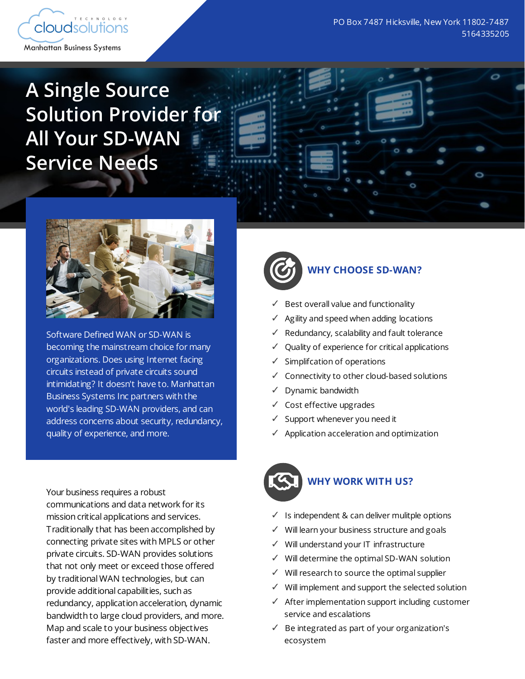

O

# **A Single Source Solution Provider for All Your SD-WAN Service Needs**



Software Defined WAN or SD-WAN is becoming the mainstream choice for many organizations. Does using Internet facing circuits instead of private circuits sound intimidating? It doesn't have to. Manhattan Business Systems Inc partners with the world's leading SD-WAN providers, and can address concerns about security, redundancy, quality of experience, and more.

Your business requires a robust communications and data network for its mission critical applications and services. Traditionally that has been accomplished by connecting private sites with MPLS or other private circuits. SD-WAN provides solutions that not only meet or exceed those offered by traditional WAN technologies, but can provide additional capabilities, such as redundancy, application acceleration, dynamic bandwidth to large cloud providers, and more. Map and scale to your business objectives faster and more effectively, with SD-WAN.



# **WHY CHOOSE SD-WAN?**

- Best overall value and functionality
- ✓ Agility and speed when adding locations
- Redundancy, scalability and fault tolerance
- ✓ Quality of experience for critical applications
- ✓ Simplifcation of operations
- ✓ Connectivity to other cloud-based solutions
- ✓ Dynamic bandwidth
- ✓ Cost effective upgrades
- ✓ Support whenever you need it
- ✓ Application acceleration and optimization



#### **WHY WORK WITH US?**

- ✓ Is independent & can deliver mulitple options
- ✓ Will learn your business structure and goals
- ✓ Will understand your IT infrastructure
- ✓ Will determine the optimal SD-WAN solution
- ✓ Will research to source the optimal supplier
- ✓ Will implement and support the selected solution
- ✓ After implementation support including customer service and escalations
- ✓ Be integrated as part of your organization's ecosystem